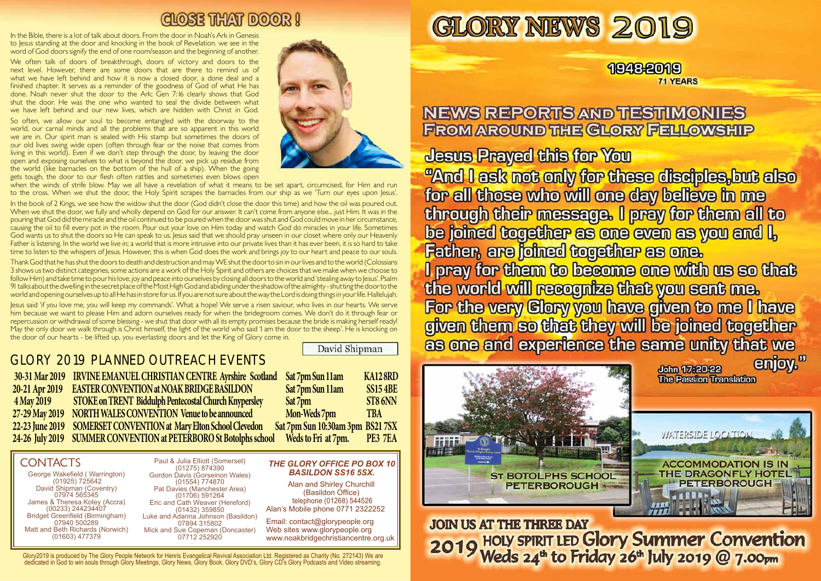George Wakefield ( Warrington) (01925) 725642 David Shipman (Coventry) 07974 565345 James & Theresa Kotey (Accra) (00233) 244234407 Bridget Greenfield (Birmingham) 07940 500289 Matt and Beth Richards (Norwich) (01603) 477379

Glory2019 is produced by The Glory People Network for Henris Evangelical Revival Association Ltd. Registered as Charity (No. 272143) We are dedicated in God to win souls through Glory Meetings, Glory News, Glory Book, Glory DVD's, Glory CD's Glory Podcasts and Video streaming.



## **NEWS REPORTS AND TESTIMONIES FROM AROUND THE GLORY FELLOWSHIP**

**Jesus Prayed this for You** "And I ask not only for these disciples, but also for all those who will one day believe in me through their message. I pray for them all to be joined together as one even as you and I, Father, are joined together as one. I pray for them to become one with us so that the world will recognize that you sent me. For the very Clory you have given to me I have given them so that they will be joined together as one and experience the same unity that we enjoy." John 17:20-22 **The Passion Translation** 



### 1948-2019 **71 YEARS**

# CLOSE THAT DOOR !

In the Bible, there is a lot of talk about doors. From the door in Noah's Ark in Genesis to Jesus standing at the door and knocking in the book of Revelation. we see in the word of God doors signify the end of one room/season and the beginning of another.

## GLORY 2019 PLANNED OUTREACH EVENTS

 **30-31 Mar 2019 IRVINE EMANUEL CHRISTIAN CENTRE Ayrshire Scotland 20-21 Apr 2019 EASTER CONVENTION at NOAK BRIDGE BASILDON** 4 May 2019 **STOKE on TRENT Biddulph Pentecostal Church Knypersley 27-29 May 2019 NORTH WALES CONVENTION Venue to be announced 22-23 June 2019 SOMERSET CONVENTION at Mary Elton School Clevedon 24-26 July 2019 SUMMER CONVENTION at PETERBORO St Botolphs school** 

| Sat 7pm Sun 11am                 | KA128RD         |
|----------------------------------|-----------------|
| Sat 7pm Sun 11am                 | <b>SS15 4BE</b> |
| Sat 7pm                          | ST86NN          |
| Mon-Weds 7pm                     | <b>TBA</b>      |
| Sat 7pm Sun 10:30am 3pm BS21 7SX |                 |
| Weds to Fri at 7pm.              | PE3 7EA         |
|                                  |                 |

### **CONTACTS**

Ī

. shut the door. He was the one who wanted to seal the divide between what We often talk of doors of breakthrough, doors of victory and doors to the next level. However, there are some doors that are there to remind us of what we have left behind and how it is now a closed door, a done deal and a finished chapter. It serves as a reminder of the goodness of God of what He has done. Noah never shut the door to the Ark; Gen 7:16 clearly shows that God we have left behind and our new lives, which are hidden with Christ in God.

> Paul & Julia Elliott (Somerset) (01275) 874390 Gordon Davis (Gorseinon Wales) (01554) 774870 Pat Davies (Manchester Area) (01706) 591264 Eric and Cath Weaver (Hereford) (01432) 359850 Luke and Adanna Johnson (Basildon) 07894 315802 Mick and Sue Copeman (Doncaster) 07712 252920

Alan and Shirley Churchill (Basildon Office) telephone (01268) 544526 Alan's Mobile phone 0771 2322252

Email: contact@glorypeople.org Web sites www.glorypeople.org www.noakbridgechristiancentre.org.uk

#### *THE GLORY OFFICE PO BOX 10 BASILDON SS16 5SX.*

So often, we allow our soul to become entangled with the doorway to the world, our carnal minds and all the problems that are so apparent in this world we are in. Our spirit man is sealed with His stamp but sometimes the doors of our old lives swing wide open (often through fear or the noise that comes from living in this world). Even if we don't step through the door, by leaving the door open and exposing ourselves to what is beyond the door, we pick up residue from the world (like barnacles on the bottom of the hull of a ship). When the going gets tough, the door to our flesh often rattles and sometimes even blows open



when the winds of strife blow. May we all have a revelation of what it means to be set apart, circumcised, for Him and run to the cross. When we shut the door, the Holy Spirit scrapes the barnacles from our ship as we 'Turn our eyes upon Jesus'.

In the book of 2 Kings, we see how the widow shut the door (God didn't close the door this time) and how the oil was poured out. When we shut the door, we fully and wholly depend on God for our answer. It can't come from anyone else... just Him. It was in the pouring that God did the miracle and the oil continued to be poured when the door was shut and God could move in her circumstance, causing the oil to fill every pot in the room. Pour out your love on Him today and watch God do miracles in your life. Sometimes God wants us to shut the doors so He can speak to us. Jesus said that we should pray unseen in our closet where only our Heavenly Father is listening. In the world we live in; a world that is more intrusive into our private lives than it has ever been, it is so hard to take time to listen to the whispers of Jesus. However, this is when God does the work and brings joy to our heart and peace to our souls.

Thank God that he has shut the doors to death and destruction and may WE shut the door to sin in our lives and to the world (Colossians 3 shows us two distinct categories, some actions are a work of the Holy Spirit and others are choices that we make when we choose to follow Him) and take time to pour his love, joy and peace into ourselves by closing all doors to the world and 'stealing away to Jesus'. Psalm 91 talks about the dwelling in the secret place of the Most High God and abiding under the shadow of the almighty - shutting the door to the world and opening ourselves up to all He has in store for us. If you are not sure about the way the Lord is doing things in your life. Hallelujah.

Jesus said 'if you love me, you will keep my commands'. What a hope! We serve a risen saviour, who lives in our hearts. We serve him because we want to please Him and adorn ourselves ready for when the bridegroom comes. We don't do it through fear or repercussion or withdrawal of some blessing - we shut that door with all its empty promises because the bride is making herself ready! May the only door we walk through is Christ himself, the light of the world who said 'I am the door to the sheep'. He is knocking on the door of our hearts - be lifted up, you everlasting doors and let the King of Glory come in.

David Shipman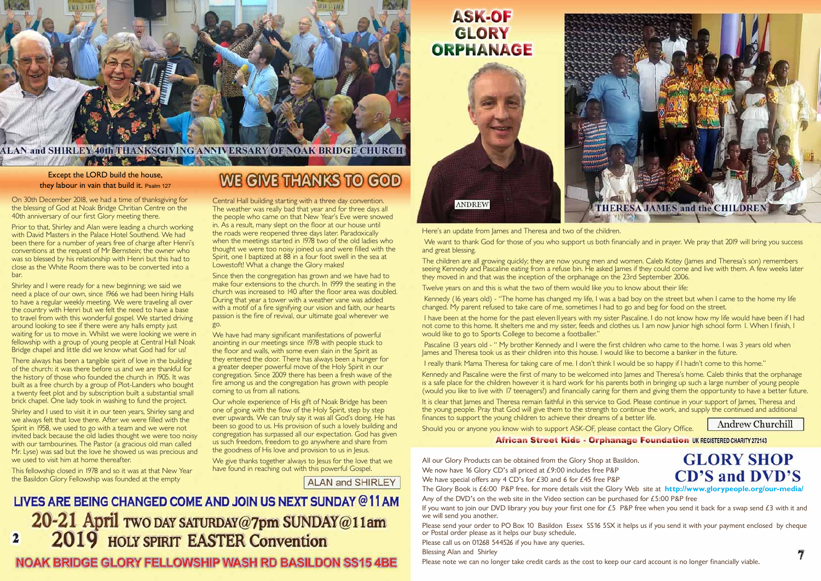

#### **ALAN and SHIRLEY 40th THANKSGIVING ANNIVERSARY OF NOAK BRIDGE CHURCH AND MEASURE OF BUILDING**

#### **Except the LORD build the house, they labour in vain that build it.** Psalm 127

On 30th December 2018, we had a time of thanksgiving for the blessing of God at Noak Bridge Chritian Centre on the 40th anniversary of our first Glory meeting there.

Prior to that, Shirley and Alan were leading a church working with David Masters in the Palace Hotel Southend. We had been there for a number of years free of charge after Henri's conventions at the request of Mr Bernstein; the owner who was so blessed by his relationship with Henri but this had to close as the White Room there was to be converted into a bar.

Shirley and I were ready for a new beginning; we said we need a place of our own, since 1966 we had been hiring Halls to have a regular weekly meeting. We were traveling all over the country with Henri but we felt the need to have a base to travel from with this wonderful gospel. We started driving around looking to see if there were any halls empty just waiting for us to move in. Whilst we were looking we were in fellowship with a group of young people at Central Hall Noak Bridge chapel and little did we know what God had for us!

There always has been a tangible spirit of love in the building of the church: it was there before us and we are thankful for the history of those who founded the church in 1905. It was built as a free church by a group of Plot-Landers who bought a twenty feet plot and by subscription built a substantial small brick chapel. One lady took in washing to fund the project.

We have had many significant manifestations of powerful anointing in our meetings since 1978 with people stuck to the floor and walls, with some even slain in the Spirit as they entered the door. There has always been a hunger for a greater deeper powerful move of the Holy Spirit in our congregation. Since 2009 there has been a fresh wave of the fire among us and the congregation has grown with people coming to us from all nations.

Shirley and I used to visit it in our teen years, Shirley sang and we always felt that love there. After we were filled with the Spirit in 1958, we used to go with a team and we were not invited back because the old ladies thought we were too noisy with our tambourines. The Pastor (a gracious old man called Mr. Lyse) was sad but the love he showed us was precious and we used to visit him at home thereafter.

We give thanks together always to Jesus for the love that we have found in reaching out with this powerful Gospel.

**ALAN and SHIRLEY** 

# LIVES ARE BEING CHANGED COME AND JOIN US NEXT SUNDAY @11AM 20-21 April TWO DAY SATURDAY@7pm SUNDAY@11am **2019** HOLY SPIRIT EASTER Convention

### **NOAK BRIDGE GLORY FELLOWSHIP WASH RD BASILDON SS15 4BE**

# **GLORY**



This fellowship closed in 1978 and so it was at that New Year the Basildon Glory Fellowship was founded at the empty

## WE GIVE THANKS TO GOD

Central Hall building starting with a three day convention. The weather was really bad that year and for three days all the people who came on that New Year's Eve were snowed in. As a result, many slept on the floor at our house until the roads were reopened three days later. Paradoxically when the meetings started in 1978 two of the old ladies who thought we were too noisy joined us and were filled with the Spirit, one I baptized at 88 in a four foot swell in the sea at Lowestoft! What a change the Glory makes!

> I have been at the home for the past eleven II years with my sister Pascaline. I do not know how my life would have been if I had not come to this home. It shelters me and my sister, feeds and clothes us. I am now Junior high school form 1. When I finish, I would like to go to Sports College to become a footballer."

Pascaline 13 years old - " My brother Kennedy and I were the first children who came to the home. I was 3 years old when James and Theresa took us as their children into this house. I would like to become a banker in the future.

Since then the congregation has grown and we have had to make four extensions to the church. In 1999 the seating in the church was increased to 140 after the floor area was doubled. During that year a tower with a weather vane was added with a motif of a fire signifying our vision and faith, our hearts passion is the fire of revival, our ultimate goal wherever we go.

> It is clear that James and Theresa remain faithful in this service to God. Please continue in your support of James, Theresa and the young people. Pray that God will give them to the strength to continue the work, and supply the continued and additional finances to support the young children to achieve their dreams of a better life.

Our whole experience of His gift of Noak Bridge has been one of going with the flow of the Holy Spirit, step by step ever upwards. We can truly say it was all God's doing. He has been so good to us. His provision of such a lovely building and congregation has surpassed all our expectation. God has given us such freedom, freedom to go anywhere and share from the goodness of His love and provision to us in Jesus.

Here's an update from James and Theresa and two of the children. We want to thank God for those of you who support us both financially and in prayer. We pray that 2019 will bring you success and great blessing.

The children are all growing quickly; they are now young men and women. Caleb Kotey (James and Theresa's son) remembers seeing Kennedy and Pascaline eating from a refuse bin. He asked James if they could come and live with them. A few weeks later they moved in and that was the inception of the orphanage on the 23rd September 2006.

Twelve years on and this is what the two of them would like you to know about their life:

 Kennedy (16 years old) - "The home has changed my life, I was a bad boy on the street but when I came to the home my life changed. My parent refused to take care of me, sometimes I had to go and beg for food on the street.

I really thank Mama Theresa for taking care of me. I don't think I would be so happy if I hadn't come to this home."

Kennedy and Pascaline were the first of many to be welcomed into James and Theresa's home. Caleb thinks that the orphanage is a safe place for the children however it is hard work for his parents both in bringing up such a large number of young people (would you like to live with 17 teenagers?) and financially caring for them and giving them the opportunity to have a better future.

Should you or anyone you know wish to support ASK-OF, please contact the Glory Office.

All our Glory Products can be obtained from the Glory Shop at Basildon. We now have 16 Glory CD's all priced at £9:00 includes free P&P **CD'S and DVD'S** We have special offers any 4 CD's for £30 and 6 for £45 free P&P The Glory Book is £6:00 P&P free. for more details visit the Glory Web site at **http://www.glorypeople.org/our-media/** Any of the DVD's on the web site in the Video section can be purchased for £5:00 P&P free If you want to join our DVD library you buy your first one for  $£5$  P&P free when you send it back for a swap send  $£3$  with it and we will send you another.

Please send your order to PO Box 10 Basildon Essex SS16 5SX it helps us if you send it with your payment enclosed by cheque or Postal order please as it helps our busy schedule.

Please call us on 01268 544526 if you have any queries. Blessing Alan and Shirley

Please note we can no longer take credit cards as the cost to keep our card account is no longer financially viable.

**Andrew Churchill** 

**African Street Kids - Orphanage Foundation UK REGISTERED CHARITY 272143** 

# **GLORY SHOP**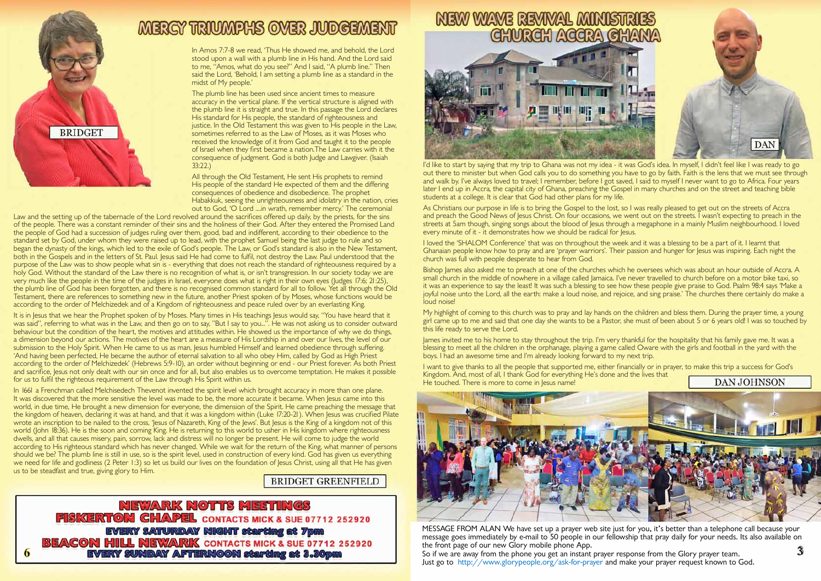

6

# MERGY TRIUMPHS OVER JUDGEMENT

MESSAGE FROM ALAN We have set up a prayer web site just for you, it's better than a telephone call because your message goes immediately by e-mail to 50 people in our fellowship that pray daily for your needs. Its also available on the front page of our new Glory mobile phone App. So if we are away from the phone you get an instant prayer response from the Glory prayer team. Just go to http://www.glorypeople.org/ask-for-prayer and make your prayer request known to God.

In Amos 7:7-8 we read, 'Thus He showed me, and behold, the Lord stood upon a wall with a plumb line in His hand. And the Lord said to me, "Amos, what do you see?" And I said, "A plumb line." Then said the Lord, 'Behold, I am setting a plumb line as a standard in the midst of My people.'

The plumb line has been used since ancient times to measure accuracy in the vertical plane. If the vertical structure is aligned with the plumb line it is straight and true. In this passage the Lord declares His standard for His people, the standard of righteousness and justice. In the Old Testament this was given to His people in the Law, sometimes referred to as the Law of Moses, as it was Moses who received the knowledge of it from God and taught it to the people of Israel when they first became a nation.The Law carries with it the consequence of judgment. God is both Judge and Lawgiver. (Isaiah 33:22.)

All through the Old Testament, He sent His prophets to remind His people of the standard He expected of them and the differing consequences of obedience and disobedience. The prophet Habakkuk, seeing the unrighteousness and idolatry in the nation, cries out to God, 'O Lord ....in wrath, remember mercy.' The ceremonial

Law and the setting up of the tabernacle of the Lord revolved around the sacrifices offered up daily, by the priests, for the sins of the people. There was a constant reminder of their sins and the holiness of their God. After they entered the Promised Land the people of God had a succession of judges ruling over them, good, bad and indifferent, according to their obedience to the standard set by God, under whom they were raised up to lead, with the prophet Samuel being the last judge to rule and so began the dynasty of the kings, which led to the exile of God's people. The Law, or God's standard is also in the New Testament, both in the Gospels and in the letters of St. Paul. Jesus said He had come to fulfil, not destroy the Law. Paul understood that the purpose of the Law was to show people what sin is - everything that does not reach the standard of righteousness required by a holy God. Without the standard of the Law there is no recognition of what is, or isn't transgression. In our society today we are very much like the people in the time of the judges in Israel, everyone does what is right in their own eyes (Judges 17:6; 21:25), the plumb line of God has been forgotten, and there is no recognised common standard for all to follow. Yet all through the Old Testament, there are references to something new in the future, another Priest spoken of by Moses, whose functions would be according to the order of Melchizedek and of a Kingdom of righteousness and peace ruled over by an everlasting King.

As Christians our purpose in life is to bring the Gospel to the lost, so I was really pleased to get out on the streets of Accra and preach the Good News of Jesus Christ. On four occasions, we went out on the streets. I wasn't expecting to preach in the streets at 5am though, singing songs about the blood of Jesus through a megaphone in a mainly Muslim neighbourhood. I loved every minute of it - it demonstrates how we should be radical for lesus.

Bishop James also asked me to preach at one of the churches which he oversees which was about an hour outside of Accra. A small church in the middle of nowhere in a village called Jamaica. I've never travelled to church before on a motor bike taxi, so it was an experience to say the least! It was such a blessing to see how these people give praise to God. Psalm 98:4 says 'Make a joyful noise unto the Lord, all the earth: make a loud noise, and rejoice, and sing praise.' The churches there certainly do make a loud noise!

It is in Jesus that we hear the Prophet spoken of by Moses. Many times in His teachings Jesus would say, "You have heard that it was said", referring to what was in the Law, and then go on to say, "But I say to you...". He was not asking us to consider outward behaviour but the condition of the heart, the motives and attitudes within. He showed us the importance of why we do things, a dimension beyond our actions. The motives of the heart are a measure of His Lordship in and over our lives, the level of our submission to the Holy Spirit. When He came to us as man, Jesus humbled Himself and learned obedience through suffering. 'And having been perfected, He became the author of eternal salvation to all who obey Him, called by God as High Priest according to the order of Melchizedek' (Hebrews 5:9-10), an order without beginning or end - our Priest forever. As both Priest and sacrifice, Jesus not only dealt with our sin once and for all, but also enables us to overcome temptation. He makes it possible for us to fulfil the righteous requirement of the Law through His Spirit within us.

My highlight of coming to this church was to pray and lay hands on the children and bless them. During the prayer time, a young girl came up to me and said that one day she wants to be a Pastor, she must of been about 5 or 6 years old! I was so touched by this life ready to serve the Lord.

I want to give thanks to all the people that supported me, either financially or in prayer, to make this trip a success for God's Kingdom. And, most of all, I thank God for everything He's done and the lives that **DAN JOHNSON** He touched. There is more to come in Jesus name!



In 1661 a Frenchman called Melchisedech Thevenot invented the spirit level which brought accuracy in more than one plane. It was discovered that the more sensitive the level was made to be, the more accurate it became. When Jesus came into this world, in due time, He brought a new dimension for everyone, the dimension of the Spirit. He came preaching the message that the kingdom of heaven, declaring it was at hand, and that it was a kingdom within (Luke 17:20-21). When Jesus was crucified Pilate wrote an inscription to be nailed to the cross, 'Jesus of Nazareth, King of the Jews'. But Jesus is the King of a kingdom not of this world (John 18:36). He is the soon and coming King. He is returning to this world to usher in His kingdom where righteousness dwells, and all that causes misery, pain, sorrow, lack and distress will no longer be present. He will come to judge the world according to His righteous standard which has never changed. While we wait for the return of the King, what manner of persons should we be? The plumb line is still in use, so is the spirit level, used in construction of every kind. God has given us everything we need for life and godliness (2 Peter 1:3) so let us build our lives on the foundation of Jesus Christ, using all that He has given us to be steadfast and true, giving glory to Him.

#### **BRIDGET GREENFIELD**

**NEWARK NOTTS MEETINGS FISKERTON CHAPEL CONTACTS MICK & SUE 07712 252920 EVERY SATURDAY NIGHT starting at 7pm BEACON HILL NEWARK** CONTACTS MICK & SUE 07712 252920 **EVERY SUNDAY AFTERNOON starting at 3.30pm** 





I'd like to start by saying that my trip to Ghana was not my idea - it was God's idea. In myself, I didn't feel like I was ready to go out there to minister but when God calls you to do something you have to go by faith. Faith is the lens that we must see through and walk by. I've always loved to travel; I remember, before I got saved, I said to myself I never want to go to Africa. Four years later I end up in Accra, the capital city of Ghana, preaching the Gospel in many churches and on the street and teaching bible students at a college. It is clear that God had other plans for my life.

I loved the 'SHALOM Conference' that was on throughout the week and it was a blessing to be a part of it. I learnt that Ghanaian people know how to pray and are 'prayer warriors'. Their passion and hunger for Jesus was inspiring. Each night the church was full with people desperate to hear from God.

James invited me to his home to stay throughout the trip. I'm very thankful for the hospitality that his family gave me. It was a blessing to meet all the children in the orphanage, playing a game called Oware with the girls and football in the yard with the boys. I had an awesome time and I'm already looking forward to my next trip.